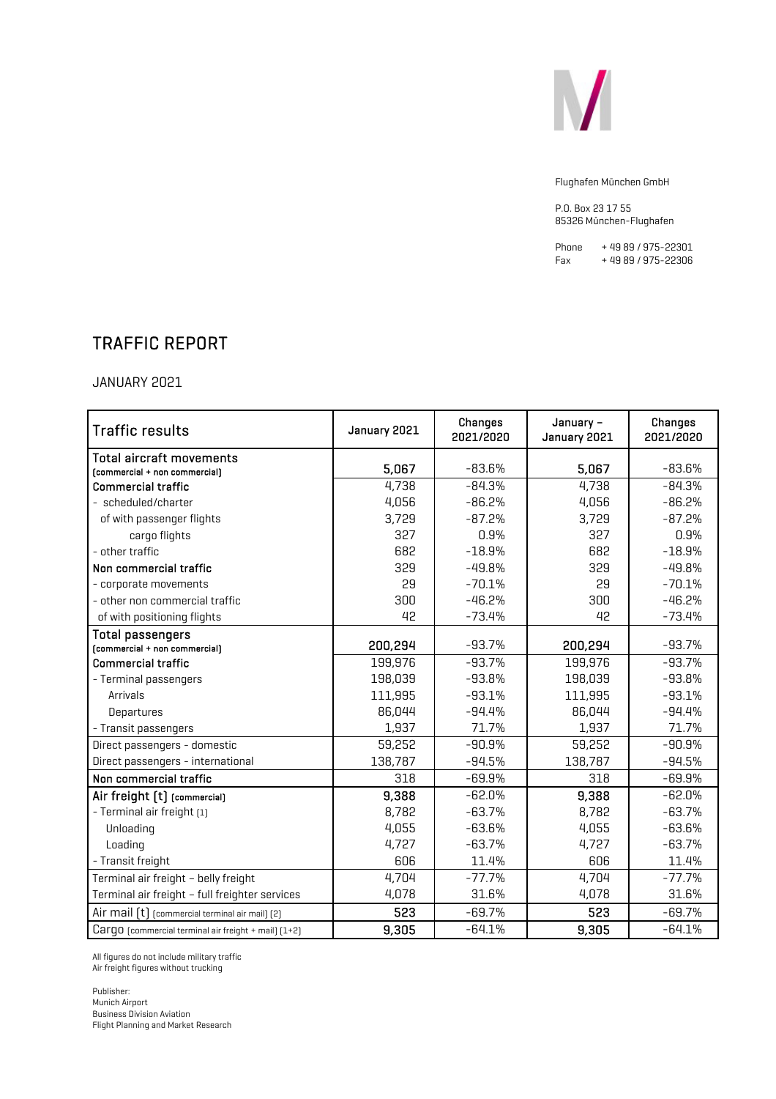

P.O. Box 23 17 55 85326 München-Flughafen

Phone + 49 89 / 975-22301<br>Fax + 49 89 / 975-22306 + 49 89 / 975-22306

### TRAFFIC REPORT

JANUARY 2021

| <b>Traffic results</b>                               | January 2021 | Changes<br>2021/2020 | January -<br>January 2021 | Changes<br>2021/2020 |
|------------------------------------------------------|--------------|----------------------|---------------------------|----------------------|
| <b>Total aircraft movements</b>                      |              |                      |                           |                      |
| [commercial + non commercial]                        | 5,067        | $-83.6%$             | 5,067                     | $-83.6%$             |
| <b>Commercial traffic</b>                            | 4,738        | $-84.3%$             | 4,738                     | $-84.3%$             |
| - scheduled/charter                                  | 4,056        | $-86.2%$             | 4,056                     | $-86.2%$             |
| of with passenger flights                            | 3,729        | $-87.2%$             | 3,729                     | $-87.2%$             |
| cargo flights                                        | 327          | 0.9%                 | 327                       | 0.9%                 |
| - other traffic                                      | 682          | $-18.9%$             | 682                       | $-18.9%$             |
| Non commercial traffic                               | 329          | $-49.8%$             | 329                       | $-49.8%$             |
| - corporate movements                                | 29           | $-70.1%$             | 29                        | $-70.1%$             |
| - other non commercial traffic                       | 300          | $-46.2%$             | 300                       | $-46.2%$             |
| of with positioning flights                          | 42           | $-73.4%$             | 42                        | $-73.4%$             |
| <b>Total passengers</b>                              |              |                      |                           |                      |
| [commercial + non commercial]                        | 200,294      | $-93.7%$             | 200,294                   | $-93.7%$             |
| <b>Commercial traffic</b>                            | 199,976      | $-93.7%$             | 199,976                   | $-93.7%$             |
| - Terminal passengers                                | 198,039      | $-93.8%$             | 198,039                   | $-93.8%$             |
| Arrivals                                             | 111,995      | $-93.1%$             | 111,995                   | $-93.1%$             |
| Departures                                           | 86,044       | $-94.4%$             | 86,044                    | $-94.4%$             |
| - Transit passengers                                 | 1,937        | 71.7%                | 1,937                     | 71.7%                |
| Direct passengers - domestic                         | 59,252       | $-90.9%$             | 59,252                    | $-90.9%$             |
| Direct passengers - international                    | 138,787      | $-94.5%$             | 138,787                   | $-94.5%$             |
| Non commercial traffic                               | 318          | $-69.9%$             | 318                       | $-69.9%$             |
| Air freight [t] [commercial]                         | 9,388        | $-62.0%$             | 9,388                     | $-62.0%$             |
| - Terminal air freight [1]                           | 8,782        | $-63.7%$             | 8,782                     | $-63.7%$             |
| Unloading                                            | 4,055        | $-63.6%$             | 4,055                     | $-63.6%$             |
| Loading                                              | 4,727        | $-63.7%$             | 4,727                     | $-63.7%$             |
| - Transit freight                                    | 606          | 11.4%                | 606                       | 11.4%                |
| Terminal air freight - belly freight                 | 4,704        | $-77.7%$             | 4,704                     | $-77.7%$             |
| Terminal air freight - full freighter services       | 4,078        | 31.6%                | 4,078                     | 31.6%                |
| Air mail [t] [commercial terminal air mail] [2]      | 523          | $-69.7%$             | 523                       | $-69.7%$             |
| Cargo (commercial terminal air freight + mail) [1+2] | 9,305        | $-64.1%$             | 9,305                     | $-64.1%$             |

All figures do not include military traffic Air freight figures without trucking

Publisher: Munich Airport Business Division Aviation Flight Planning and Market Research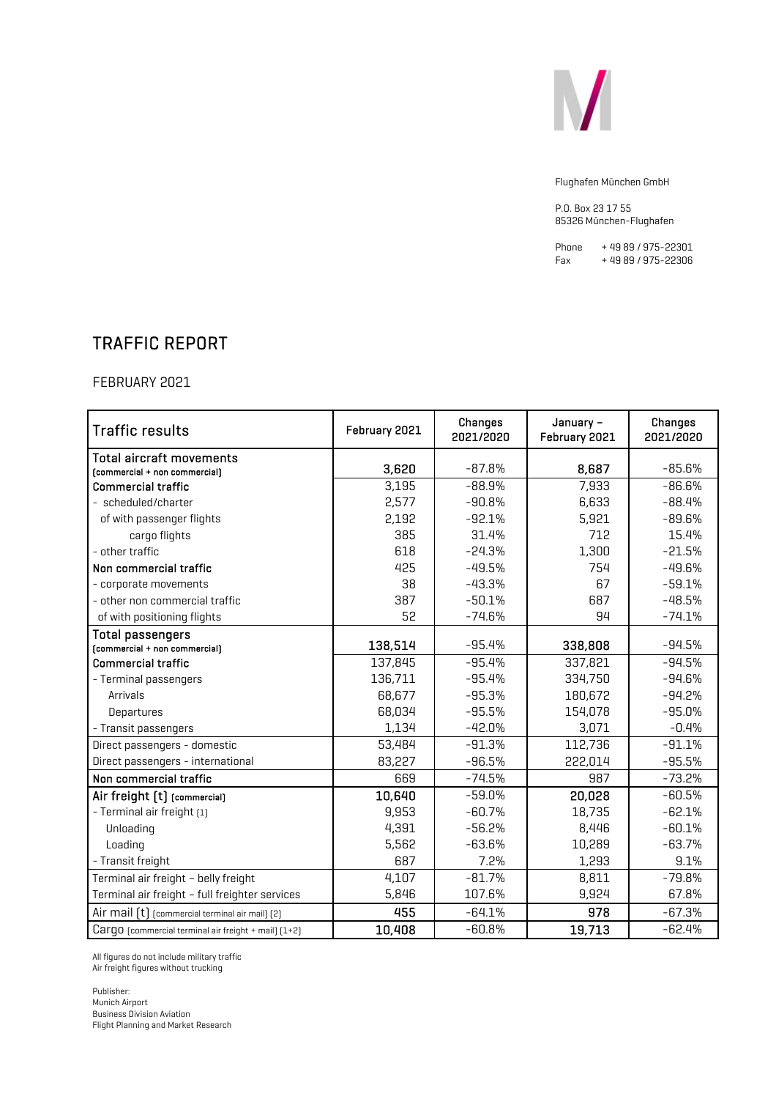

P.O. Box 23 17 55 85326 München-Flughafen

Phone + 49 89 / 975-22301<br>Fax + 49 89 / 975-22306 + 49 89 / 975-22306

### TRAFFIC REPORT

FEBRUARY 2021

| <b>Traffic results</b>                               | February 2021 | Changes<br>2021/2020 | January -<br>February 2021 | Changes<br>2021/2020 |
|------------------------------------------------------|---------------|----------------------|----------------------------|----------------------|
| <b>Total aircraft movements</b>                      |               |                      |                            |                      |
| [commercial + non commercial]                        | 3,620         | $-87.8%$             | 8,687                      | $-85.6%$             |
| <b>Commercial traffic</b>                            | 3,195         | $-88.9%$             | 7,933                      | $-86.6%$             |
| - scheduled/charter                                  | 2,577         | $-90.8%$             | 6,633                      | $-88.4%$             |
| of with passenger flights                            | 2,192         | $-92.1%$             | 5,921                      | $-89.6%$             |
| cargo flights                                        | 385           | 31.4%                | 712                        | 15.4%                |
| - other traffic                                      | 618           | $-24.3%$             | 1,300                      | $-21.5%$             |
| Non commercial traffic                               | 425           | $-49.5%$             | 754                        | $-49.6%$             |
| - corporate movements                                | 38            | $-43.3%$             | 67                         | $-59.1%$             |
| - other non commercial traffic                       | 387           | $-50.1%$             | 687                        | $-48.5%$             |
| of with positioning flights                          | 52            | $-74.6%$             | 94                         | $-74.1%$             |
| <b>Total passengers</b>                              |               |                      |                            |                      |
| $[comment] + non commercial]$                        | 138,514       | $-95.4%$             | 338,808                    | $-94.5%$             |
| <b>Commercial traffic</b>                            | 137,845       | $-95.4%$             | 337,821                    | $-94.5%$             |
| - Terminal passengers                                | 136,711       | $-95.4%$             | 334,750                    | $-94.6%$             |
| Arrivals                                             | 68,677        | $-95.3%$             | 180,672                    | $-94.2%$             |
| Departures                                           | 68,034        | $-95.5%$             | 154,078                    | $-95.0%$             |
| - Transit passengers                                 | 1,134         | $-42.0%$             | 3,071                      | $-0.4%$              |
| Direct passengers - domestic                         | 53,484        | $-91.3%$             | 112,736                    | $-91.1%$             |
| Direct passengers - international                    | 83,227        | $-96.5%$             | 222,014                    | $-95.5%$             |
| Non commercial traffic                               | 669           | $-74.5%$             | 987                        | $-73.2%$             |
| Air freight [t] [commercial]                         | 10,640        | $-59.0%$             | 20,028                     | $-60.5%$             |
| - Terminal air freight [1]                           | 9,953         | $-60.7%$             | 18,735                     | $-62.1%$             |
| Unloading                                            | 4,391         | $-56.2%$             | 8,446                      | $-60.1%$             |
| Loading                                              | 5,562         | $-63.6%$             | 10,289                     | $-63.7%$             |
| - Transit freight                                    | 687           | 7.2%                 | 1,293                      | 9.1%                 |
| Terminal air freight - belly freight                 | 4,107         | $-81.7%$             | 8,811                      | $-79.8%$             |
| Terminal air freight - full freighter services       | 5,846         | 107.6%               | 9,924                      | 67.8%                |
| Air mail [t] [commercial terminal air mail] [2]      | 455           | $-64.1%$             | 978                        | $-67.3%$             |
| Cargo [commercial terminal air freight + mail] [1+2] | 10,408        | $-60.8%$             | 19,713                     | $-62.4%$             |

All figures do not include military traffic Air freight figures without trucking

Publisher: Munich Airport Business Division Aviation Flight Planning and Market Research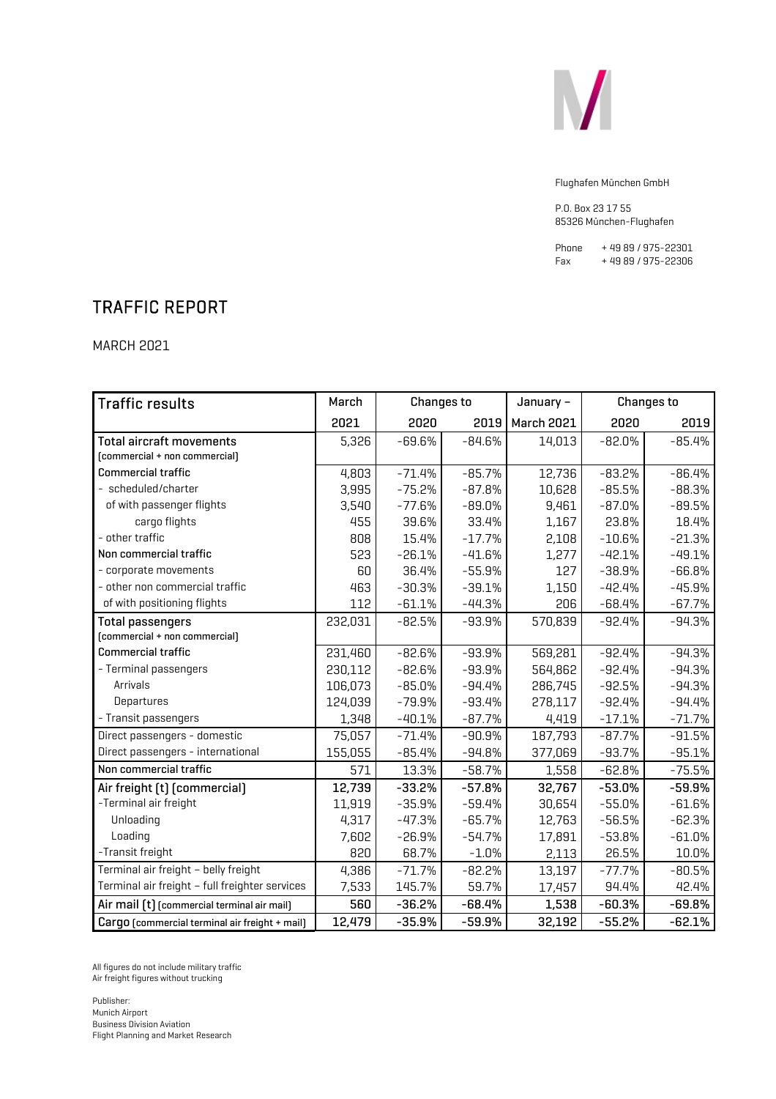

P.O. Box 23 17 55 85326 München-Flughafen

Phone + 49 89 / 975-22301<br>Fax + 49 89 / 975-22306 + 49 89 / 975-22306

# TRAFFIC REPORT

MARCH 2021

| <b>Traffic results</b>                         | March   | <b>Changes to</b> |          | January -         |          | <b>Changes to</b> |
|------------------------------------------------|---------|-------------------|----------|-------------------|----------|-------------------|
|                                                | 2021    | 2020              | 2019     | <b>March 2021</b> | 2020     | 2019              |
| <b>Total aircraft movements</b>                | 5,326   | $-69.6%$          | $-84.6%$ | 14,013            | $-82.0%$ | $-85.4%$          |
| [commercial + non commercial]                  |         |                   |          |                   |          |                   |
| <b>Commercial traffic</b>                      | 4,803   | $-71.4%$          | $-85.7%$ | 12,736            | $-83.2%$ | $-86.4%$          |
| - scheduled/charter                            | 3,995   | $-75.2%$          | $-87.8%$ | 10,628            | $-85.5%$ | $-88.3%$          |
| of with passenger flights                      | 3,540   | $-77.6%$          | $-89.0%$ | 9,461             | $-87.0%$ | $-89.5%$          |
| cargo flights                                  | 455     | 39.6%             | 33.4%    | 1,167             | 23.8%    | 18.4%             |
| - other traffic                                | 808     | 15.4%             | $-17.7%$ | 2,108             | $-10.6%$ | $-21.3%$          |
| Non commercial traffic                         | 523     | $-26.1%$          | $-41.6%$ | 1,277             | $-42.1%$ | $-49.1%$          |
| - corporate movements                          | 60      | 36.4%             | $-55.9%$ | 127               | $-38.9%$ | $-66.8%$          |
| - other non commercial traffic                 | 463     | $-30.3%$          | $-39.1%$ | 1,150             | $-42.4%$ | $-45.9%$          |
| of with positioning flights                    | 112     | $-61.1%$          | $-44.3%$ | 206               | $-68.4%$ | $-67.7%$          |
| <b>Total passengers</b>                        | 232,031 | $-82.5%$          | $-93.9%$ | 570,839           | $-92.4%$ | $-94.3%$          |
| [commercial + non commercial]                  |         |                   |          |                   |          |                   |
| <b>Commercial traffic</b>                      | 231,460 | $-82.6%$          | $-93.9%$ | 569,281           | $-92.4%$ | $-94.3%$          |
| - Terminal passengers                          | 230,112 | $-82.6%$          | $-93.9%$ | 564,862           | $-92.4%$ | $-94.3%$          |
| Arrivals                                       | 106,073 | $-85.0%$          | $-94.4%$ | 286,745           | $-92.5%$ | $-94.3%$          |
| Departures                                     | 124,039 | $-79.9%$          | $-93.4%$ | 278,117           | $-92.4%$ | $-94.4%$          |
| - Transit passengers                           | 1,348   | $-40.1%$          | $-87.7%$ | 4,419             | $-17.1%$ | $-71.7%$          |
| Direct passengers - domestic                   | 75,057  | $-71.4%$          | $-90.9%$ | 187,793           | $-87.7%$ | $-91.5%$          |
| Direct passengers - international              | 155,055 | $-85.4%$          | $-94.8%$ | 377,069           | $-93.7%$ | $-95.1%$          |
| Non commercial traffic                         | 571     | 13.3%             | $-58.7%$ | 1,558             | $-62.8%$ | $-75.5%$          |
| Air freight [t] [commercial]                   | 12,739  | $-33.2%$          | $-57.8%$ | 32,767            | $-53.0%$ | $-59.9%$          |
| -Terminal air freight                          | 11,919  | $-35.9%$          | $-59.4%$ | 30,654            | $-55.0%$ | $-61.6%$          |
| Unloading                                      | 4,317   | $-47.3%$          | $-65.7%$ | 12,763            | $-56.5%$ | $-62.3%$          |
| Loading                                        | 7,602   | $-26.9%$          | $-54.7%$ | 17,891            | $-53.8%$ | $-61.0%$          |
| -Transit freight                               | 820     | 68.7%             | $-1.0%$  | 2,113             | 26.5%    | 10.0%             |
| Terminal air freight - belly freight           | 4,386   | $-71.7%$          | $-82.2%$ | 13,197            | $-77.7%$ | $-80.5%$          |
| Terminal air freight - full freighter services | 7,533   | 145.7%            | 59.7%    | 17,457            | 94.4%    | 42.4%             |
| Air mail [t] [commercial terminal air mail]    | 560     | $-36.2%$          | $-68.4%$ | 1,538             | $-60.3%$ | $-69.8%$          |
| Cargo [commercial terminal air freight + mail] | 12,479  | $-35.9%$          | $-59.9%$ | 32,192            | $-55.2%$ | $-62.1%$          |

All figures do not include military traffic Air freight figures without trucking

Publisher: Munich Airport Business Division Aviation Flight Planning and Market Research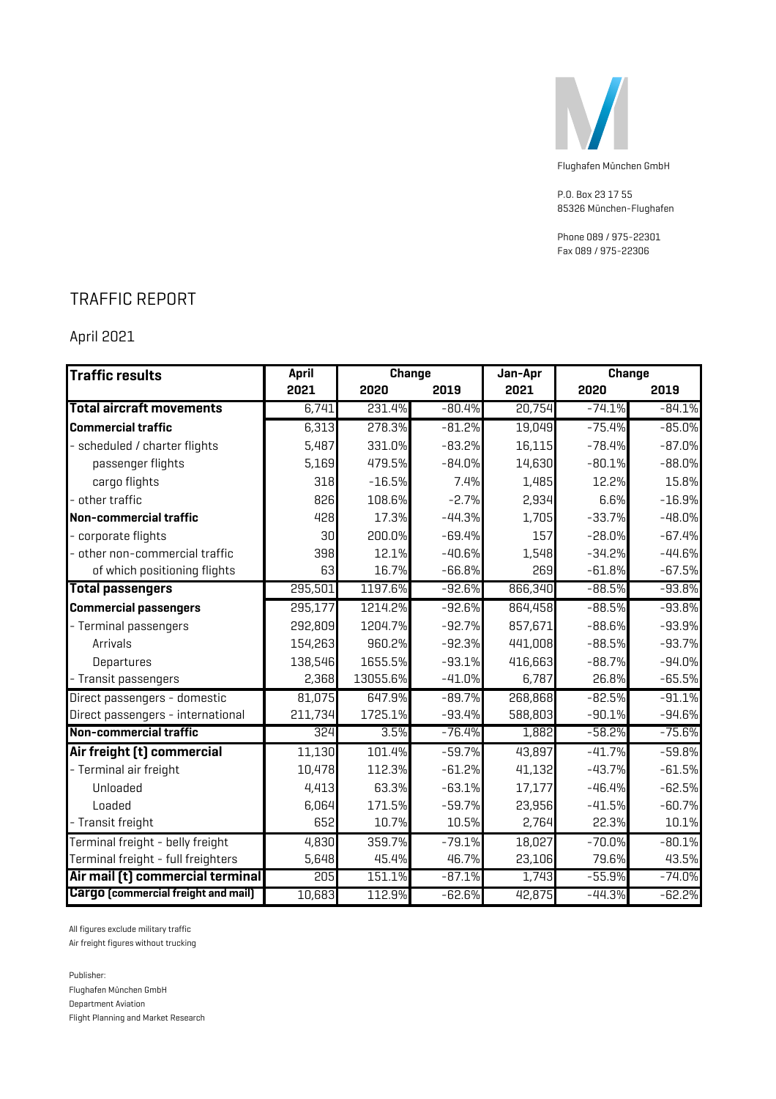

P.O. Box 23 17 55 85326 München-Flughafen

Phone 089 / 975-22301 Fax 089 / 975-22306

### TRAFFIC REPORT

April 2021

| Traffic results                            | April   | <b>Change</b> |          | Jan-Apr | Change   |          |
|--------------------------------------------|---------|---------------|----------|---------|----------|----------|
|                                            | 2021    | 2020          | 2019     | 2021    | 2020     | 2019     |
| <b>Total aircraft movements</b>            | 6,741   | 231.4%        | $-80.4%$ | 20,754  | $-74.1%$ | $-84.1%$ |
| <b>Commercial traffic</b>                  | 6,313   | 278.3%        | $-81.2%$ | 19,049  | $-75.4%$ | $-85.0%$ |
| scheduled / charter flights                | 5,487   | 331.0%        | $-83.2%$ | 16,115  | $-78.4%$ | $-87.0%$ |
| passenger flights                          | 5,169   | 479.5%        | $-84.0%$ | 14,630  | $-80.1%$ | $-88.0%$ |
| cargo flights                              | 318     | $-16.5%$      | 7.4%     | 1,485   | 12.2%    | 15.8%    |
| other traffic                              | 826     | 108.6%        | $-2.7%$  | 2,934   | 6.6%     | $-16.9%$ |
| Non-commercial traffic                     | 428     | 17.3%         | $-44.3%$ | 1,705   | $-33.7%$ | $-48.0%$ |
| corporate flights                          | 30      | 200.0%        | $-69.4%$ | 157     | $-28.0%$ | $-67.4%$ |
| other non-commercial traffic               | 398     | 12.1%         | $-40.6%$ | 1,548   | $-34.2%$ | $-44.6%$ |
| of which positioning flights               | 63      | 16.7%         | $-66.8%$ | 269     | $-61.8%$ | $-67.5%$ |
| <b>Total passengers</b>                    | 295,501 | 1197.6%       | $-92.6%$ | 866,340 | $-88.5%$ | $-93.8%$ |
| <b>Commercial passengers</b>               | 295,177 | 1214.2%       | $-92.6%$ | 864,458 | $-88.5%$ | $-93.8%$ |
| - Terminal passengers                      | 292,809 | 1204.7%       | $-92.7%$ | 857,671 | $-88.6%$ | $-93.9%$ |
| <b>Arrivals</b>                            | 154,263 | 960.2%        | $-92.3%$ | 441,008 | $-88.5%$ | $-93.7%$ |
| Departures                                 | 138,546 | 1655.5%       | $-93.1%$ | 416,663 | $-88.7%$ | $-94.0%$ |
| - Transit passengers                       | 2,368   | 13055.6%      | $-41.0%$ | 6,787   | 26.8%    | $-65.5%$ |
| Direct passengers - domestic               | 81,075  | 647.9%        | $-89.7%$ | 268,868 | $-82.5%$ | $-91.1%$ |
| Direct passengers - international          | 211,734 | 1725.1%       | $-93.4%$ | 588,803 | $-90.1%$ | $-94.6%$ |
| Non-commercial traffic                     | 324     | 3.5%          | $-76.4%$ | 1,882   | $-58.2%$ | $-75.6%$ |
| Air freight (t) commercial                 | 11,130  | 101.4%        | $-59.7%$ | 43,897  | $-41.7%$ | $-59.8%$ |
| - Terminal air freight                     | 10,478  | 112.3%        | $-61.2%$ | 41,132  | $-43.7%$ | $-61.5%$ |
| Unloaded                                   | 4,413   | 63.3%         | $-63.1%$ | 17,177  | $-46.4%$ | $-62.5%$ |
| Loaded                                     | 6,064   | 171.5%        | $-59.7%$ | 23,956  | $-41.5%$ | $-60.7%$ |
| - Transit freight                          | 652     | 10.7%         | 10.5%    | 2,764   | 22.3%    | 10.1%    |
| Terminal freight - belly freight           | 4,830   | 359.7%        | $-79.1%$ | 18,027  | $-70.0%$ | $-80.1%$ |
| Terminal freight - full freighters         | 5,648   | 45.4%         | 46.7%    | 23,106  | 79.6%    | 43.5%    |
| Air mail [t] commercial terminal           | 205     | 151.1%        | $-87.1%$ | 1,743   | $-55.9%$ | $-74.0%$ |
| <b>Cargo</b> (commercial freight and mail) | 10,683  | 112.9%        | $-62.6%$ | 42,875  | $-44.3%$ | $-62.2%$ |

All figures exclude military traffic

Air freight figures without trucking

Publisher: Flughafen München GmbH Department Aviation Flight Planning and Market Research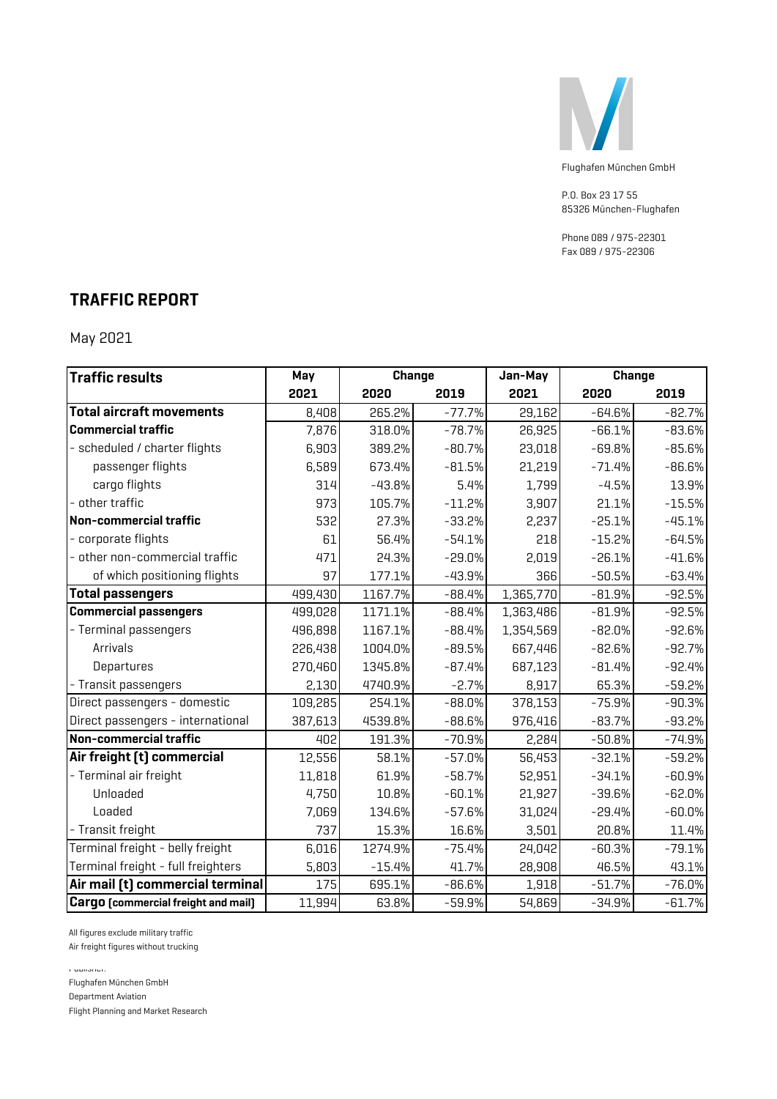

P.O. Box 23 17 55 85326 München-Flughafen

Phone 089 / 975-22301 Fax 089 / 975-22306

### **TRAFFIC REPORT**

May 2021

| <b>Traffic results</b>                     | May     | <b>Change</b> |          | Jan-May   |          | <b>Change</b> |
|--------------------------------------------|---------|---------------|----------|-----------|----------|---------------|
|                                            | 2021    | 2020          | 2019     | 2021      | 2020     | 2019          |
| <b>Total aircraft movements</b>            | 8,408   | 265.2%        | $-77.7%$ | 29,162    | $-64.6%$ | $-82.7%$      |
| <b>Commercial traffic</b>                  | 7,876   | 318.0%        | $-78.7%$ | 26,925    | $-66.1%$ | $-83.6%$      |
| - scheduled / charter flights              | 6,903   | 389.2%        | $-80.7%$ | 23,018    | $-69.8%$ | $-85.6%$      |
| passenger flights                          | 6,589   | 673.4%        | $-81.5%$ | 21,219    | $-71.4%$ | $-86.6%$      |
| cargo flights                              | 314     | $-43.8%$      | 5.4%     | 1,799     | $-4.5%$  | 13.9%         |
| other traffic                              | 973     | 105.7%        | $-11.2%$ | 3,907     | 21.1%    | $-15.5%$      |
| Non-commercial traffic                     | 532     | 27.3%         | $-33.2%$ | 2,237     | $-25.1%$ | $-45.1%$      |
| corporate flights                          | 61      | 56.4%         | $-54.1%$ | 218       | $-15.2%$ | $-64.5%$      |
| other non-commercial traffic               | 471     | 24.3%         | $-29.0%$ | 2,019     | $-26.1%$ | $-41.6%$      |
| of which positioning flights               | 97      | 177.1%        | $-43.9%$ | 366       | $-50.5%$ | $-63.4%$      |
| <b>Total passengers</b>                    | 499,430 | 1167.7%       | $-88.4%$ | 1,365,770 | $-81.9%$ | $-92.5%$      |
| <b>Commercial passengers</b>               | 499,028 | 1171.1%       | $-88.4%$ | 1,363,486 | $-81.9%$ | $-92.5%$      |
| - Terminal passengers                      | 496,898 | 1167.1%       | $-88.4%$ | 1,354,569 | $-82.0%$ | $-92.6%$      |
| Arrivals                                   | 226,438 | 1004.0%       | $-89.5%$ | 667,446   | $-82.6%$ | $-92.7%$      |
| Departures                                 | 270,460 | 1345.8%       | $-87.4%$ | 687,123   | $-81.4%$ | $-92.4%$      |
| - Transit passengers                       | 2,130   | 4740.9%       | $-2.7%$  | 8,917     | 65.3%    | $-59.2%$      |
| Direct passengers - domestic               | 109,285 | 254.1%        | $-88.0%$ | 378,153   | $-75.9%$ | $-90.3%$      |
| Direct passengers - international          | 387,613 | 4539.8%       | $-88.6%$ | 976,416   | $-83.7%$ | $-93.2%$      |
| Non-commercial traffic                     | 402     | 191.3%        | $-70.9%$ | 2,284     | $-50.8%$ | $-74.9%$      |
| Air freight (t) commercial                 | 12,556  | 58.1%         | $-57.0%$ | 56,453    | $-32.1%$ | $-59.2%$      |
| - Terminal air freight                     | 11,818  | 61.9%         | $-58.7%$ | 52,951    | $-34.1%$ | $-60.9%$      |
| Unloaded                                   | 4,750   | 10.8%         | $-60.1%$ | 21,927    | $-39.6%$ | $-62.0%$      |
| Loaded                                     | 7,069   | 134.6%        | $-57.6%$ | 31,024    | $-29.4%$ | $-60.0%$      |
| - Transit freight                          | 737     | 15.3%         | 16.6%    | 3,501     | 20.8%    | 11.4%         |
| Terminal freight - belly freight           | 6,016   | 1274.9%       | $-75.4%$ | 24,042    | $-60.3%$ | $-79.1%$      |
| Terminal freight - full freighters         | 5,803   | $-15.4%$      | 41.7%    | 28,908    | 46.5%    | 43.1%         |
| Air mail [t] commercial terminal           | 175     | 695.1%        | $-86.6%$ | 1,918     | $-51.7%$ | $-76.0%$      |
| <b>Cargo</b> [commercial freight and mail] | 11,994  | 63.8%         | $-59.9%$ | 54,869    | $-34.9%$ | $-61.7%$      |

All figures exclude military traffic

Air freight figures without trucking

Publisher:

Flughafen München GmbH

Department Aviation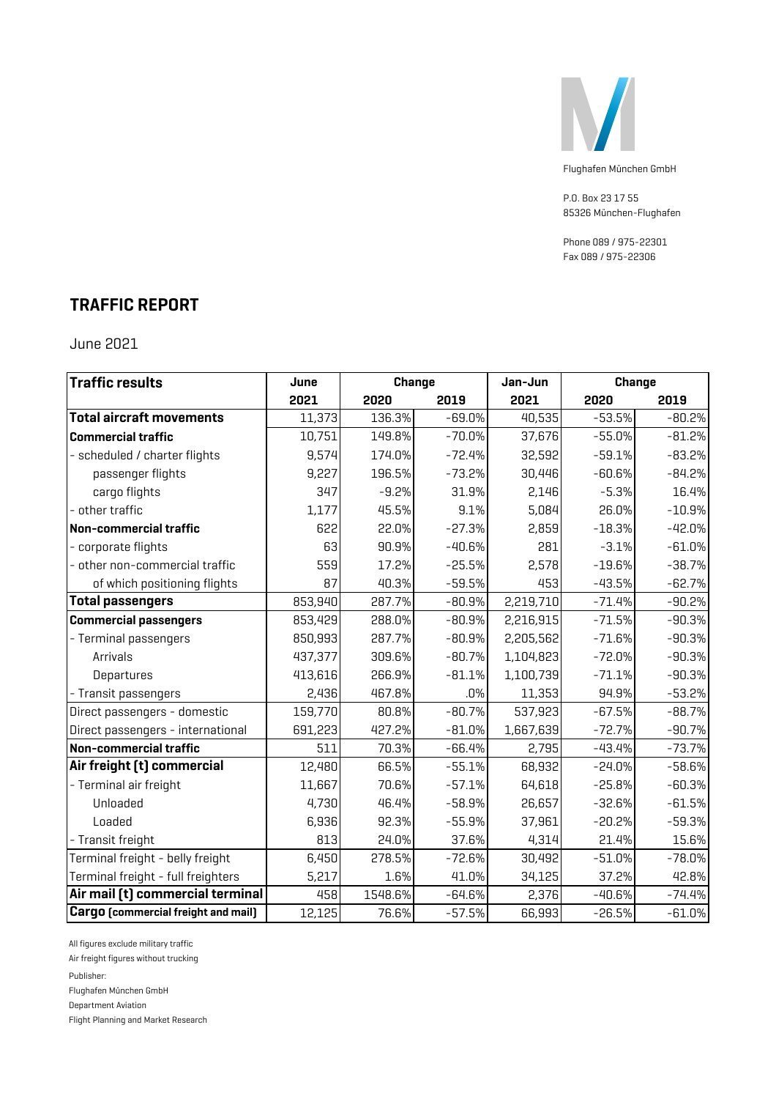

P.O. Box 23 17 55 85326 München-Flughafen

Phone 089 / 975-22301 Fax 089 / 975-22306

# **TRAFFIC REPORT**

June 2021

| <b>Traffic results</b>                     | June    | <b>Change</b> |          | Jan-Jun   |          | <b>Change</b> |
|--------------------------------------------|---------|---------------|----------|-----------|----------|---------------|
|                                            | 2021    | 2020          | 2019     | 2021      | 2020     | 2019          |
| <b>Total aircraft movements</b>            | 11,373  | 136.3%        | $-69.0%$ | 40,535    | $-53.5%$ | $-80.2%$      |
| <b>Commercial traffic</b>                  | 10,751  | 149.8%        | $-70.0%$ | 37,676    | $-55.0%$ | $-81.2%$      |
| - scheduled / charter flights              | 9,574   | 174.0%        | $-72.4%$ | 32,592    | $-59.1%$ | $-83.2%$      |
| passenger flights                          | 9,227   | 196.5%        | $-73.2%$ | 30,446    | $-60.6%$ | $-84.2%$      |
| cargo flights                              | 347     | $-9.2%$       | 31.9%    | 2,146     | $-5.3%$  | 16.4%         |
| - other traffic                            | 1,177   | 45.5%         | 9.1%     | 5,084     | 26.0%    | $-10.9%$      |
| Non-commercial traffic                     | 622     | 22.0%         | $-27.3%$ | 2,859     | $-18.3%$ | $-42.0%$      |
| - corporate flights                        | 63      | 90.9%         | $-40.6%$ | 281       | $-3.1%$  | $-61.0%$      |
| - other non-commercial traffic             | 559     | 17.2%         | $-25.5%$ | 2,578     | $-19.6%$ | $-38.7%$      |
| of which positioning flights               | 87      | 40.3%         | $-59.5%$ | 453       | $-43.5%$ | $-62.7%$      |
| <b>Total passengers</b>                    | 853,940 | 287.7%        | $-80.9%$ | 2,219,710 | $-71.4%$ | $-90.2%$      |
| <b>Commercial passengers</b>               | 853,429 | 288.0%        | $-80.9%$ | 2,216,915 | $-71.5%$ | $-90.3%$      |
| - Terminal passengers                      | 850,993 | 287.7%        | $-80.9%$ | 2,205,562 | $-71.6%$ | $-90.3%$      |
| Arrivals                                   | 437,377 | 309.6%        | $-80.7%$ | 1,104,823 | $-72.0%$ | $-90.3%$      |
| Departures                                 | 413,616 | 266.9%        | $-81.1%$ | 1,100,739 | $-71.1%$ | $-90.3%$      |
| - Transit passengers                       | 2,436   | 467.8%        | $.0\%$   | 11,353    | 94.9%    | $-53.2%$      |
| Direct passengers - domestic               | 159,770 | 80.8%         | $-80.7%$ | 537,923   | $-67.5%$ | $-88.7%$      |
| Direct passengers - international          | 691,223 | 427.2%        | $-81.0%$ | 1,667,639 | $-72.7%$ | $-90.7%$      |
| Non-commercial traffic                     | 511     | 70.3%         | $-66.4%$ | 2,795     | $-43.4%$ | $-73.7%$      |
| Air freight [t] commercial                 | 12,480  | 66.5%         | $-55.1%$ | 68,932    | $-24.0%$ | $-58.6%$      |
| - Terminal air freight                     | 11,667  | 70.6%         | $-57.1%$ | 64,618    | $-25.8%$ | $-60.3%$      |
| Unloaded                                   | 4,730   | 46.4%         | $-58.9%$ | 26,657    | $-32.6%$ | $-61.5%$      |
| Loaded                                     | 6,936   | 92.3%         | $-55.9%$ | 37,961    | $-20.2%$ | $-59.3%$      |
| - Transit freight                          | 813     | 24.0%         | 37.6%    | 4,314     | 21.4%    | 15.6%         |
| Terminal freight - belly freight           | 6,450   | 278.5%        | $-72.6%$ | 30,492    | $-51.0%$ | $-78.0%$      |
| Terminal freight - full freighters         | 5,217   | 1.6%          | 41.0%    | 34,125    | 37.2%    | 42.8%         |
| Air mail [t] commercial terminal           | 458     | 1548.6%       | $-64.6%$ | 2,376     | $-40.6%$ | $-74.4%$      |
| <b>Cargo</b> [commercial freight and mail] | 12,125  | 76.6%         | $-57.5%$ | 66,993    | $-26.5%$ | $-61.0%$      |

All figures exclude military traffic

Air freight figures without trucking

Publisher:

Flughafen München GmbH

Department Aviation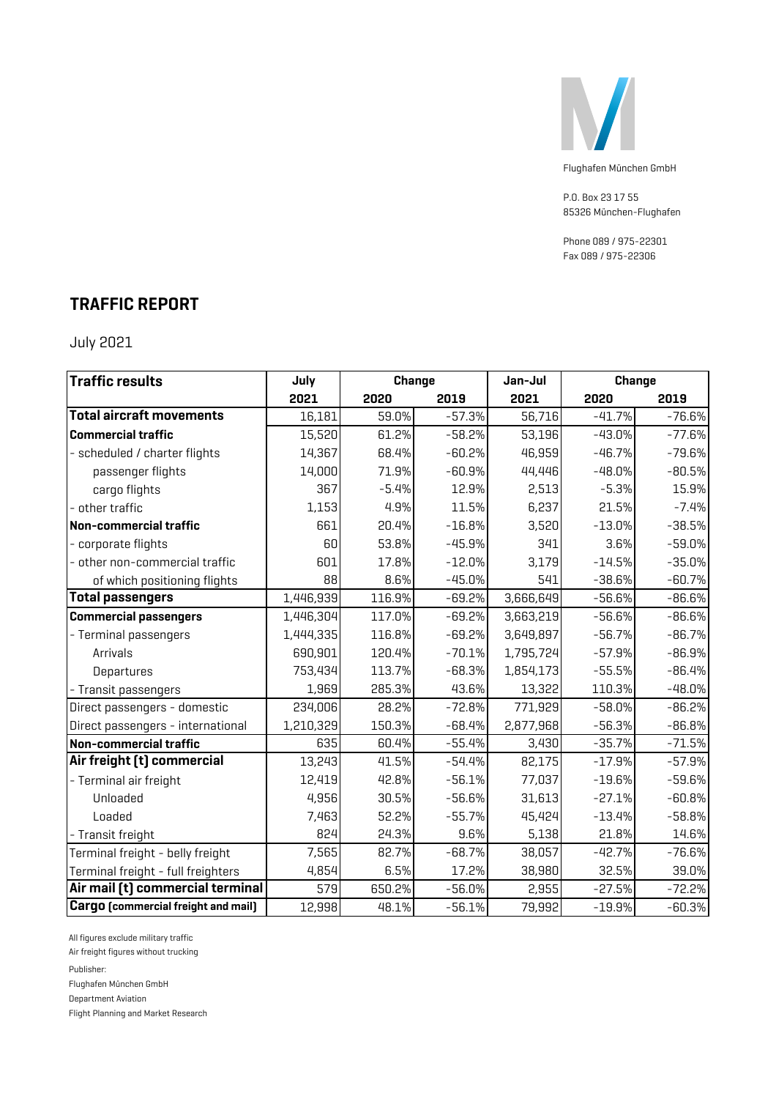

P.O. Box 23 17 55 85326 München-Flughafen

Phone 089 / 975-22301 Fax 089 / 975-22306

### **TRAFFIC REPORT**

July 2021

| <b>Traffic results</b>                     | July      | <b>Change</b> |          | Jan-Jul   |          | <b>Change</b> |
|--------------------------------------------|-----------|---------------|----------|-----------|----------|---------------|
|                                            | 2021      | 2020          | 2019     | 2021      | 2020     | 2019          |
| <b>Total aircraft movements</b>            | 16,181    | 59.0%         | $-57.3%$ | 56,716    | $-41.7%$ | $-76.6%$      |
| <b>Commercial traffic</b>                  | 15,520    | 61.2%         | $-58.2%$ | 53,196    | $-43.0%$ | $-77.6%$      |
| - scheduled / charter flights              | 14,367    | 68.4%         | $-60.2%$ | 46,959    | $-46.7%$ | $-79.6%$      |
| passenger flights                          | 14,000    | 71.9%         | $-60.9%$ | 44,446    | $-48.0%$ | $-80.5%$      |
| cargo flights                              | 367       | $-5.4%$       | 12.9%    | 2,513     | $-5.3%$  | 15.9%         |
| other traffic                              | 1,153     | 4.9%          | 11.5%    | 6,237     | 21.5%    | $-7.4%$       |
| Non-commercial traffic                     | 661       | 20.4%         | $-16.8%$ | 3,520     | $-13.0%$ | $-38.5%$      |
| - corporate flights                        | 60        | 53.8%         | $-45.9%$ | 341       | 3.6%     | $-59.0%$      |
| other non-commercial traffic               | 601       | 17.8%         | $-12.0%$ | 3,179     | $-14.5%$ | $-35.0%$      |
| of which positioning flights               | 88        | 8.6%          | $-45.0%$ | 541       | $-38.6%$ | $-60.7%$      |
| <b>Total passengers</b>                    | 1,446,939 | 116.9%        | $-69.2%$ | 3,666,649 | $-56.6%$ | $-86.6%$      |
| <b>Commercial passengers</b>               | 1,446,304 | 117.0%        | $-69.2%$ | 3,663,219 | $-56.6%$ | $-86.6%$      |
| - Terminal passengers                      | 1,444,335 | 116.8%        | $-69.2%$ | 3,649,897 | $-56.7%$ | $-86.7%$      |
| Arrivals                                   | 690,901   | 120.4%        | $-70.1%$ | 1,795,724 | $-57.9%$ | $-86.9%$      |
| Departures                                 | 753,434   | 113.7%        | $-68.3%$ | 1,854,173 | $-55.5%$ | $-86.4%$      |
| - Transit passengers                       | 1,969     | 285.3%        | 43.6%    | 13,322    | 110.3%   | $-48.0%$      |
| Direct passengers - domestic               | 234,006   | 28.2%         | $-72.8%$ | 771,929   | $-58.0%$ | $-86.2%$      |
| Direct passengers - international          | 1,210,329 | 150.3%        | $-68.4%$ | 2,877,968 | $-56.3%$ | $-86.8%$      |
| Non-commercial traffic                     | 635       | 60.4%         | $-55.4%$ | 3,430     | $-35.7%$ | $-71.5%$      |
| Air freight [t] commercial                 | 13,243    | 41.5%         | $-54.4%$ | 82,175    | $-17.9%$ | $-57.9%$      |
| - Terminal air freight                     | 12,419    | 42.8%         | $-56.1%$ | 77,037    | $-19.6%$ | $-59.6%$      |
| Unloaded                                   | 4,956     | 30.5%         | $-56.6%$ | 31,613    | $-27.1%$ | $-60.8%$      |
| Loaded                                     | 7,463     | 52.2%         | $-55.7%$ | 45,424    | $-13.4%$ | $-58.8%$      |
| - Transit freight                          | 824       | 24.3%         | 9.6%     | 5,138     | 21.8%    | 14.6%         |
| Terminal freight - belly freight           | 7,565     | 82.7%         | $-68.7%$ | 38,057    | $-42.7%$ | $-76.6%$      |
| Terminal freight - full freighters         | 4,854     | 6.5%          | 17.2%    | 38,980    | 32.5%    | 39.0%         |
| Air mail [t] commercial terminal           | 579       | 650.2%        | $-56.0%$ | 2,955     | $-27.5%$ | $-72.2%$      |
| <b>Cargo</b> [commercial freight and mail] | 12,998    | 48.1%         | $-56.1%$ | 79,992    | $-19.9%$ | $-60.3%$      |

All figures exclude military traffic

Air freight figures without trucking

Publisher:

Flughafen München GmbH

Department Aviation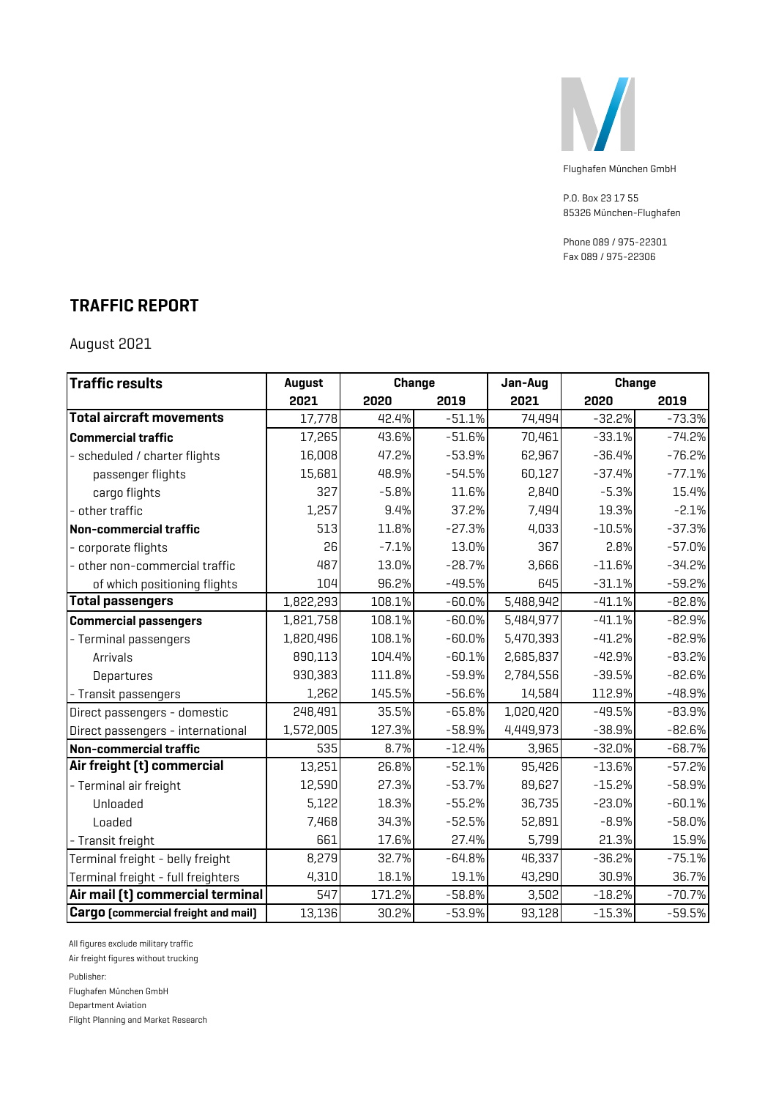

P.O. Box 23 17 55 85326 München-Flughafen

Phone 089 / 975-22301 Fax 089 / 975-22306

### **TRAFFIC REPORT**

August 2021

| <b>Traffic results</b>                     | <b>August</b> | <b>Change</b> |          | Jan-Aug   |          | <b>Change</b> |
|--------------------------------------------|---------------|---------------|----------|-----------|----------|---------------|
|                                            | 2021          | 2020          | 2019     | 2021      | 2020     | 2019          |
| <b>Total aircraft movements</b>            | 17,778        | 42.4%         | $-51.1%$ | 74,494    | $-32.2%$ | $-73.3%$      |
| <b>Commercial traffic</b>                  | 17,265        | 43.6%         | $-51.6%$ | 70,461    | $-33.1%$ | $-74.2%$      |
| - scheduled / charter flights              | 16,008        | 47.2%         | $-53.9%$ | 62,967    | $-36.4%$ | $-76.2%$      |
| passenger flights                          | 15,681        | 48.9%         | $-54.5%$ | 60,127    | $-37.4%$ | $-77.1%$      |
| cargo flights                              | 327           | $-5.8%$       | 11.6%    | 2,840     | $-5.3%$  | 15.4%         |
| - other traffic                            | 1,257         | 9.4%          | 37.2%    | 7,494     | 19.3%    | $-2.1%$       |
| Non-commercial traffic                     | 513           | 11.8%         | $-27.3%$ | 4,033     | $-10.5%$ | $-37.3%$      |
| - corporate flights                        | 26            | $-7.1%$       | 13.0%    | 367       | 2.8%     | $-57.0%$      |
| - other non-commercial traffic             | 487           | 13.0%         | $-28.7%$ | 3,666     | $-11.6%$ | $-34.2%$      |
| of which positioning flights               | 104           | 96.2%         | $-49.5%$ | 645       | $-31.1%$ | $-59.2%$      |
| <b>Total passengers</b>                    | 1,822,293     | 108.1%        | $-60.0%$ | 5,488,942 | $-41.1%$ | $-82.8%$      |
| <b>Commercial passengers</b>               | 1,821,758     | 108.1%        | $-60.0%$ | 5,484,977 | $-41.1%$ | $-82.9%$      |
| - Terminal passengers                      | 1,820,496     | 108.1%        | $-60.0%$ | 5,470,393 | $-41.2%$ | $-82.9%$      |
| Arrivals                                   | 890,113       | 104.4%        | $-60.1%$ | 2,685,837 | $-42.9%$ | $-83.2%$      |
| Departures                                 | 930,383       | 111.8%        | $-59.9%$ | 2,784,556 | $-39.5%$ | $-82.6%$      |
| - Transit passengers                       | 1,262         | 145.5%        | $-56.6%$ | 14,584    | 112.9%   | $-48.9%$      |
| Direct passengers - domestic               | 248,491       | 35.5%         | $-65.8%$ | 1,020,420 | $-49.5%$ | $-83.9%$      |
| Direct passengers - international          | 1,572,005     | 127.3%        | $-58.9%$ | 4,449,973 | $-38.9%$ | $-82.6%$      |
| Non-commercial traffic                     | 535           | 8.7%          | $-12.4%$ | 3,965     | $-32.0%$ | $-68.7%$      |
| Air freight [t] commercial                 | 13,251        | 26.8%         | $-52.1%$ | 95,426    | $-13.6%$ | $-57.2%$      |
| - Terminal air freight                     | 12,590        | 27.3%         | $-53.7%$ | 89,627    | $-15.2%$ | $-58.9%$      |
| Unloaded                                   | 5,122         | 18.3%         | $-55.2%$ | 36,735    | $-23.0%$ | $-60.1%$      |
| Loaded                                     | 7,468         | 34.3%         | $-52.5%$ | 52,891    | $-8.9%$  | $-58.0%$      |
| - Transit freight                          | 661           | 17.6%         | 27.4%    | 5,799     | 21.3%    | 15.9%         |
| Terminal freight - belly freight           | 8,279         | 32.7%         | $-64.8%$ | 46,337    | $-36.2%$ | $-75.1%$      |
| Terminal freight - full freighters         | 4,310         | 18.1%         | 19.1%    | 43,290    | 30.9%    | 36.7%         |
| Air mail [t] commercial terminal           | 547           | 171.2%        | $-58.8%$ | 3,502     | $-18.2%$ | $-70.7%$      |
| <b>Cargo</b> (commercial freight and mail) | 13,136        | 30.2%         | $-53.9%$ | 93,128    | $-15.3%$ | $-59.5%$      |

All figures exclude military traffic

Air freight figures without trucking

Publisher:

Flughafen München GmbH

Department Aviation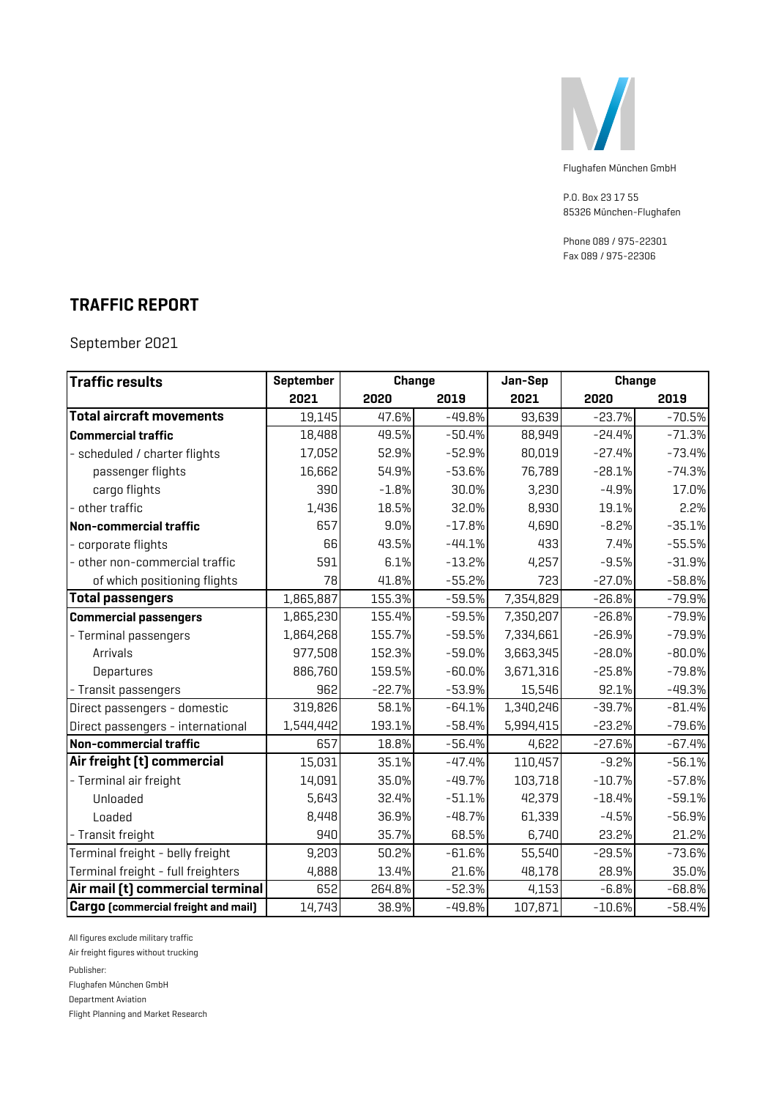

P.O. Box 23 17 55 85326 München-Flughafen

Phone 089 / 975-22301 Fax 089 / 975-22306

#### **TRAFFIC REPORT**

September 2021

| <b>Traffic results</b>                     | September | <b>Change</b> |          | Jan-Sep   |          | <b>Change</b> |
|--------------------------------------------|-----------|---------------|----------|-----------|----------|---------------|
|                                            | 2021      | 2020          | 2019     | 2021      | 2020     | 2019          |
| <b>Total aircraft movements</b>            | 19,145    | 47.6%         | $-49.8%$ | 93,639    | $-23.7%$ | $-70.5%$      |
| <b>Commercial traffic</b>                  | 18,488    | 49.5%         | $-50.4%$ | 88,949    | $-24.4%$ | $-71.3%$      |
| - scheduled / charter flights              | 17,052    | 52.9%         | $-52.9%$ | 80,019    | $-27.4%$ | $-73.4%$      |
| passenger flights                          | 16,662    | 54.9%         | $-53.6%$ | 76,789    | $-28.1%$ | $-74.3%$      |
| cargo flights                              | 390       | $-1.8%$       | 30.0%    | 3,230     | $-4.9%$  | 17.0%         |
| - other traffic                            | 1,436     | 18.5%         | 32.0%    | 8,930     | 19.1%    | 2.2%          |
| Non-commercial traffic                     | 657       | 9.0%          | $-17.8%$ | 4,690     | $-8.2%$  | $-35.1%$      |
| - corporate flights                        | 66        | 43.5%         | $-44.1%$ | 433       | 7.4%     | $-55.5%$      |
| - other non-commercial traffic             | 591       | 6.1%          | $-13.2%$ | 4,257     | $-9.5%$  | $-31.9%$      |
| of which positioning flights               | 78        | 41.8%         | $-55.2%$ | 723       | $-27.0%$ | $-58.8%$      |
| <b>Total passengers</b>                    | 1,865,887 | 155.3%        | $-59.5%$ | 7,354,829 | $-26.8%$ | $-79.9%$      |
| <b>Commercial passengers</b>               | 1,865,230 | 155.4%        | $-59.5%$ | 7,350,207 | $-26.8%$ | $-79.9%$      |
| - Terminal passengers                      | 1,864,268 | 155.7%        | $-59.5%$ | 7,334,661 | $-26.9%$ | $-79.9%$      |
| Arrivals                                   | 977,508   | 152.3%        | $-59.0%$ | 3,663,345 | $-28.0%$ | $-80.0%$      |
| Departures                                 | 886,760   | 159.5%        | $-60.0%$ | 3,671,316 | $-25.8%$ | $-79.8%$      |
| - Transit passengers                       | 962       | $-22.7%$      | $-53.9%$ | 15,546    | 92.1%    | $-49.3%$      |
| Direct passengers - domestic               | 319,826   | 58.1%         | $-64.1%$ | 1,340,246 | $-39.7%$ | $-81.4%$      |
| Direct passengers - international          | 1,544,442 | 193.1%        | $-58.4%$ | 5,994,415 | $-23.2%$ | $-79.6%$      |
| Non-commercial traffic                     | 657       | 18.8%         | $-56.4%$ | 4,622     | $-27.6%$ | $-67.4%$      |
| Air freight [t] commercial                 | 15,031    | 35.1%         | $-47.4%$ | 110,457   | $-9.2%$  | $-56.1%$      |
| - Terminal air freight                     | 14,091    | 35.0%         | $-49.7%$ | 103,718   | $-10.7%$ | $-57.8%$      |
| Unloaded                                   | 5,643     | 32.4%         | $-51.1%$ | 42,379    | $-18.4%$ | $-59.1%$      |
| Loaded                                     | 8,448     | 36.9%         | $-48.7%$ | 61,339    | $-4.5%$  | $-56.9%$      |
| - Transit freight                          | 940       | 35.7%         | 68.5%    | 6,740     | 23.2%    | 21.2%         |
| Terminal freight - belly freight           | 9,203     | 50.2%         | $-61.6%$ | 55,540    | $-29.5%$ | $-73.6%$      |
| Terminal freight - full freighters         | 4,888     | 13.4%         | 21.6%    | 48,178    | 28.9%    | 35.0%         |
| Air mail (t) commercial terminal           | 652       | 264.8%        | $-52.3%$ | 4,153     | $-6.8%$  | $-68.8%$      |
| <b>Cargo</b> [commercial freight and mail] | 14,743    | 38.9%         | $-49.8%$ | 107,871   | $-10.6%$ | $-58.4%$      |

All figures exclude military traffic

Air freight figures without trucking

Publisher:

Flughafen München GmbH

Department Aviation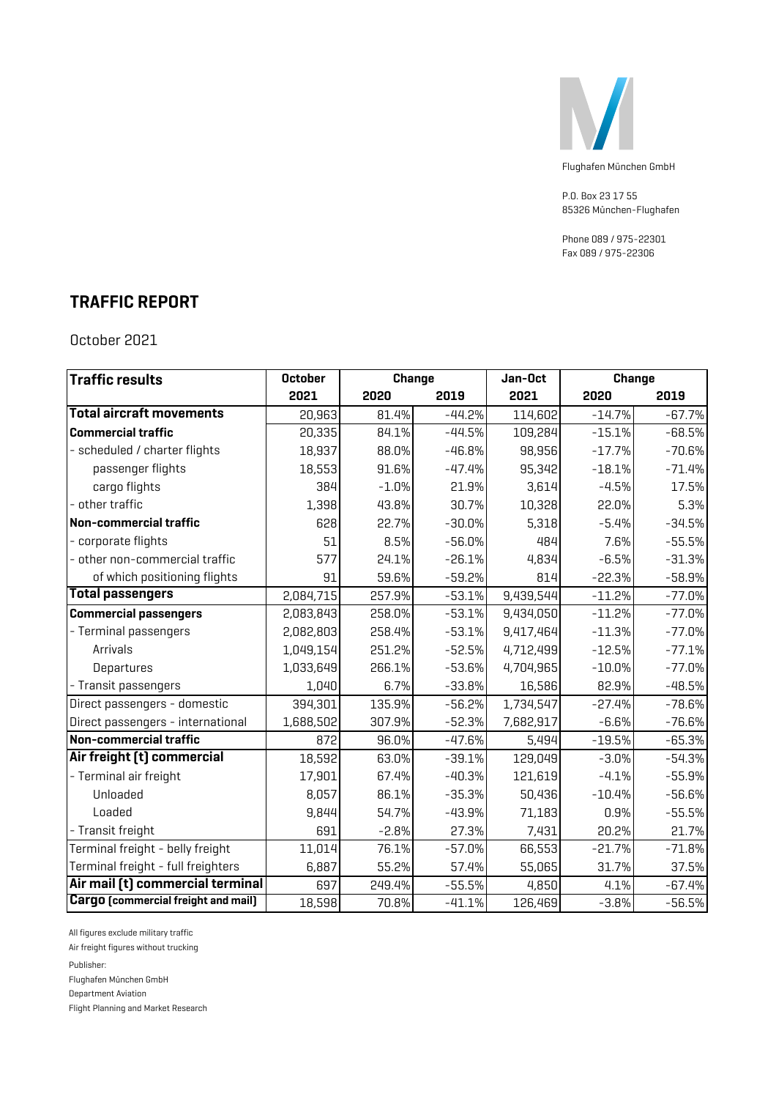

P.O. Box 23 17 55 85326 München-Flughafen

Phone 089 / 975-22301 Fax 089 / 975-22306

#### **TRAFFIC REPORT**

October 2021

| <b>Traffic results</b>                     | <b>October</b> |         | <b>Change</b> | Jan-Oct   |          | <b>Change</b> |
|--------------------------------------------|----------------|---------|---------------|-----------|----------|---------------|
|                                            | 2021           | 2020    | 2019          | 2021      | 2020     | 2019          |
| <b>Total aircraft movements</b>            | 20,963         | 81.4%   | $-44.2%$      | 114,602   | $-14.7%$ | $-67.7%$      |
| <b>Commercial traffic</b>                  | 20,335         | 84.1%   | $-44.5%$      | 109,284   | $-15.1%$ | $-68.5%$      |
| - scheduled / charter flights              | 18,937         | 88.0%   | $-46.8%$      | 98,956    | $-17.7%$ | $-70.6%$      |
| passenger flights                          | 18,553         | 91.6%   | $-47.4%$      | 95,342    | $-18.1%$ | $-71.4%$      |
| cargo flights                              | 384            | $-1.0%$ | 21.9%         | 3,614     | $-4.5%$  | 17.5%         |
| - other traffic                            | 1,398          | 43.8%   | 30.7%         | 10,328    | 22.0%    | 5.3%          |
| Non-commercial traffic                     | 628            | 22.7%   | $-30.0%$      | 5,318     | $-5.4%$  | $-34.5%$      |
| - corporate flights                        | 51             | 8.5%    | $-56.0%$      | 484       | 7.6%     | $-55.5%$      |
| - other non-commercial traffic             | 577            | 24.1%   | $-26.1%$      | 4,834     | $-6.5%$  | $-31.3%$      |
| of which positioning flights               | 91             | 59.6%   | $-59.2%$      | 814       | $-22.3%$ | $-58.9%$      |
| <b>Total passengers</b>                    | 2,084,715      | 257.9%  | $-53.1%$      | 9,439,544 | $-11.2%$ | $-77.0%$      |
| <b>Commercial passengers</b>               | 2,083,843      | 258.0%  | $-53.1%$      | 9,434,050 | $-11.2%$ | $-77.0%$      |
| - Terminal passengers                      | 2,082,803      | 258.4%  | $-53.1%$      | 9,417,464 | $-11.3%$ | $-77.0%$      |
| Arrivals                                   | 1,049,154      | 251.2%  | $-52.5%$      | 4,712,499 | $-12.5%$ | $-77.1%$      |
| Departures                                 | 1,033,649      | 266.1%  | $-53.6%$      | 4,704,965 | $-10.0%$ | $-77.0%$      |
| - Transit passengers                       | 1,040          | 6.7%    | $-33.8%$      | 16,586    | 82.9%    | $-48.5%$      |
| Direct passengers - domestic               | 394,301        | 135.9%  | $-56.2%$      | 1,734,547 | $-27.4%$ | $-78.6%$      |
| Direct passengers - international          | 1,688,502      | 307.9%  | $-52.3%$      | 7,682,917 | $-6.6%$  | $-76.6%$      |
| Non-commercial traffic                     | 872            | 96.0%   | $-47.6%$      | 5,494     | $-19.5%$ | $-65.3%$      |
| Air freight [t] commercial                 | 18,592         | 63.0%   | $-39.1%$      | 129,049   | $-3.0%$  | $-54.3%$      |
| - Terminal air freight                     | 17,901         | 67.4%   | $-40.3%$      | 121,619   | $-4.1%$  | $-55.9%$      |
| Unloaded                                   | 8,057          | 86.1%   | $-35.3%$      | 50,436    | $-10.4%$ | $-56.6%$      |
| Loaded                                     | 9,844          | 54.7%   | $-43.9%$      | 71,183    | 0.9%     | $-55.5%$      |
| - Transit freight                          | 691            | $-2.8%$ | 27.3%         | 7,431     | 20.2%    | 21.7%         |
| Terminal freight - belly freight           | 11,014         | 76.1%   | $-57.0%$      | 66,553    | $-21.7%$ | $-71.8%$      |
| Terminal freight - full freighters         | 6,887          | 55.2%   | 57.4%         | 55,065    | 31.7%    | 37.5%         |
| Air mail [t] commercial terminal           | 697            | 249.4%  | $-55.5%$      | 4,850     | 4.1%     | $-67.4%$      |
| <b>Cargo</b> (commercial freight and mail) | 18,598         | 70.8%   | $-41.1%$      | 126,469   | $-3.8%$  | $-56.5%$      |

All figures exclude military traffic

Air freight figures without trucking

Publisher:

Flughafen München GmbH

Department Aviation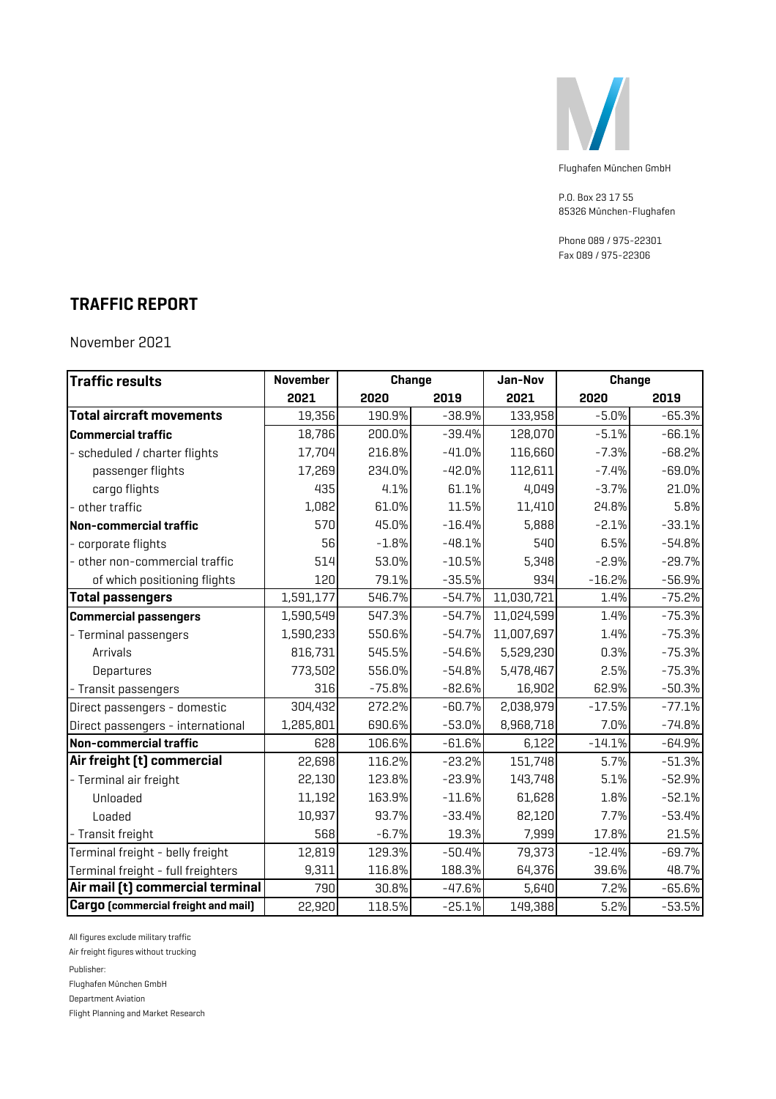

P.O. Box 23 17 55 85326 München-Flughafen

Phone 089 / 975-22301 Fax 089 / 975-22306

#### **TRAFFIC REPORT**

November 2021

| <b>Traffic results</b>              | <b>November</b> | <b>Change</b> |          | Jan-Nov    |          | <b>Change</b> |
|-------------------------------------|-----------------|---------------|----------|------------|----------|---------------|
|                                     | 2021            | 2020          | 2019     | 2021       | 2020     | 2019          |
| <b>Total aircraft movements</b>     | 19,356          | 190.9%        | $-38.9%$ | 133,958    | $-5.0%$  | $-65.3%$      |
| <b>Commercial traffic</b>           | 18,786          | 200.0%        | $-39.4%$ | 128,070    | $-5.1%$  | $-66.1%$      |
| - scheduled / charter flights       | 17,704          | 216.8%        | $-41.0%$ | 116,660    | $-7.3%$  | $-68.2%$      |
| passenger flights                   | 17,269          | 234.0%        | $-42.0%$ | 112,611    | $-7.4%$  | $-69.0%$      |
| cargo flights                       | 435             | 4.1%          | 61.1%    | 4,049      | $-3.7%$  | 21.0%         |
| - other traffic                     | 1,082           | 61.0%         | 11.5%    | 11,410     | 24.8%    | 5.8%          |
| Non-commercial traffic              | 570             | 45.0%         | $-16.4%$ | 5,888      | $-2.1%$  | $-33.1%$      |
| - corporate flights                 | 56              | $-1.8%$       | $-48.1%$ | 540        | 6.5%     | $-54.8%$      |
| - other non-commercial traffic      | 514             | 53.0%         | $-10.5%$ | 5,348      | $-2.9%$  | $-29.7%$      |
| of which positioning flights        | 120             | 79.1%         | $-35.5%$ | 934        | $-16.2%$ | $-56.9%$      |
| <b>Total passengers</b>             | 1,591,177       | 546.7%        | $-54.7%$ | 11,030,721 | 1.4%     | $-75.2%$      |
| <b>Commercial passengers</b>        | 1,590,549       | 547.3%        | $-54.7%$ | 11,024,599 | 1.4%     | $-75.3%$      |
| - Terminal passengers               | 1,590,233       | 550.6%        | $-54.7%$ | 11,007,697 | 1.4%     | $-75.3%$      |
| Arrivals                            | 816,731         | 545.5%        | $-54.6%$ | 5,529,230  | 0.3%     | $-75.3%$      |
| Departures                          | 773,502         | 556.0%        | $-54.8%$ | 5,478,467  | 2.5%     | $-75.3%$      |
| - Transit passengers                | 316             | $-75.8%$      | $-82.6%$ | 16,902     | 62.9%    | $-50.3%$      |
| Direct passengers - domestic        | 304,432         | 272.2%        | $-60.7%$ | 2,038,979  | $-17.5%$ | $-77.1%$      |
| Direct passengers - international   | 1,285,801       | 690.6%        | $-53.0%$ | 8,968,718  | 7.0%     | $-74.8%$      |
| Non-commercial traffic              | 628             | 106.6%        | $-61.6%$ | 6,122      | $-14.1%$ | $-64.9%$      |
| Air freight [t] commercial          | 22,698          | 116.2%        | $-23.2%$ | 151,748    | 5.7%     | $-51.3%$      |
| - Terminal air freight              | 22,130          | 123.8%        | $-23.9%$ | 143,748    | 5.1%     | $-52.9%$      |
| Unloaded                            | 11,192          | 163.9%        | $-11.6%$ | 61,628     | 1.8%     | $-52.1%$      |
| Loaded                              | 10,937          | 93.7%         | $-33.4%$ | 82,120     | 7.7%     | $-53.4%$      |
| - Transit freight                   | 568             | $-6.7%$       | 19.3%    | 7,999      | 17.8%    | 21.5%         |
| Terminal freight - belly freight    | 12,819          | 129.3%        | $-50.4%$ | 79,373     | $-12.4%$ | $-69.7%$      |
| Terminal freight - full freighters  | 9,311           | 116.8%        | 188.3%   | 64,376     | 39.6%    | 48.7%         |
| Air mail (t) commercial terminal    | 790             | 30.8%         | $-47.6%$ | 5,640      | 7.2%     | $-65.6%$      |
| Cargo [commercial freight and mail] | 22,920          | 118.5%        | $-25.1%$ | 149,388    | 5.2%     | $-53.5%$      |

All figures exclude military traffic

Air freight figures without trucking

Publisher:

Flughafen München GmbH

Department Aviation